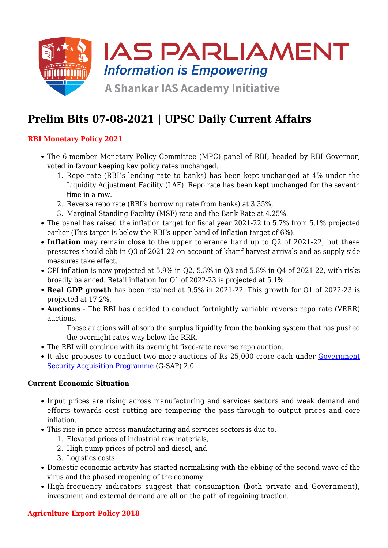

# **Prelim Bits 07-08-2021 | UPSC Daily Current Affairs**

## **RBI Monetary Policy 2021**

- The 6-member Monetary Policy Committee (MPC) panel of RBI, headed by RBI Governor, voted in favour keeping key policy rates unchanged.
	- 1. Repo rate (RBI's lending rate to banks) has been kept unchanged at 4% under the Liquidity Adjustment Facility (LAF). Repo rate has been kept unchanged for the seventh time in a row.
	- 2. Reverse repo rate (RBI's borrowing rate from banks) at 3.35%,
	- 3. Marginal Standing Facility (MSF) rate and the Bank Rate at 4.25%.
- The panel has raised the inflation target for fiscal year 2021-22 to 5.7% from 5.1% projected earlier (This target is below the RBI's upper band of inflation target of 6%).
- **Inflation** may remain close to the upper tolerance band up to Q2 of 2021-22, but these pressures should ebb in Q3 of 2021-22 on account of kharif harvest arrivals and as supply side measures take effect.
- CPI inflation is now projected at 5.9% in Q2, 5.3% in Q3 and 5.8% in Q4 of 2021-22, with risks broadly balanced. Retail inflation for Q1 of 2022-23 is projected at 5.1%
- **Real GDP growth** has been retained at 9.5% in 2021-22. This growth for Q1 of 2022-23 is projected at 17.2%.
- **Auctions** The RBI has decided to conduct fortnightly variable reverse repo rate (VRRR) auctions.
	- These auctions will absorb the surplus liquidity from the banking system that has pushed the overnight rates way below the RRR.
- The RBI will continue with its overnight fixed-rate reverse repo auction.
- It also proposes to conduct two more auctions of Rs 25,000 crore each under [Government](https://www.iasparliament.com/current-affairs/upsc-daily-current-affairs-prelim-bits-10-04-2021) [Security Acquisition Programme](https://www.iasparliament.com/current-affairs/upsc-daily-current-affairs-prelim-bits-10-04-2021) (G-SAP) 2.0.

#### **Current Economic Situation**

- Input prices are rising across manufacturing and services sectors and weak demand and efforts towards cost cutting are tempering the pass-through to output prices and core inflation.
- This rise in price across manufacturing and services sectors is due to,
	- 1. Elevated prices of industrial raw materials,
	- 2. High pump prices of petrol and diesel, and
	- 3. Logistics costs.
- Domestic economic activity has started normalising with the ebbing of the second wave of the virus and the phased reopening of the economy.
- High-frequency indicators suggest that consumption (both private and Government), investment and external demand are all on the path of regaining traction.

## **Agriculture Export Policy 2018**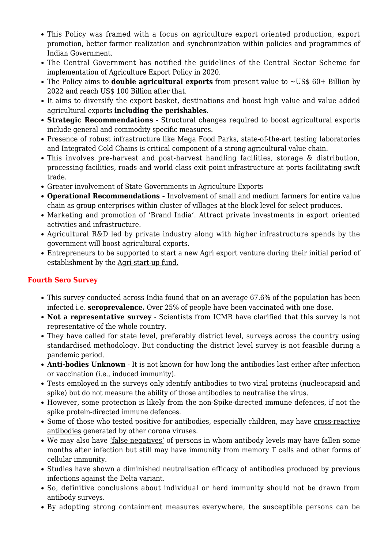- This Policy was framed with a focus on agriculture export oriented production, export promotion, better farmer realization and synchronization within policies and programmes of Indian Government.
- The Central Government has notified the guidelines of the Central Sector Scheme for implementation of Agriculture Export Policy in 2020.
- The Policy aims to **double agricultural exports** from present value to ~US\$ 60+ Billion by 2022 and reach US\$ 100 Billion after that.
- It aims to diversify the export basket, destinations and boost high value and value added agricultural exports **including the perishables**.
- **Strategic Recommendations** Structural changes required to boost agricultural exports include general and commodity specific measures.
- Presence of robust infrastructure like Mega Food Parks, state-of-the-art testing laboratories and Integrated Cold Chains is critical component of a strong agricultural value chain.
- This involves pre-harvest and post-harvest handling facilities, storage & distribution, processing facilities, roads and world class exit point infrastructure at ports facilitating swift trade.
- Greater involvement of State Governments in Agriculture Exports
- **Operational Recommendations** Involvement of small and medium farmers for entire value chain as group enterprises within cluster of villages at the block level for select produces.
- Marketing and promotion of 'Brand India'. Attract private investments in export oriented activities and infrastructure.
- Agricultural R&D led by private industry along with higher infrastructure spends by the government will boost agricultural exports.
- Entrepreneurs to be supported to start a new Agri export venture during their initial period of establishment by the Agri-start-up fund.

#### **Fourth Sero Survey**

- This survey conducted across India found that on an average 67.6% of the population has been infected i.e. **seroprevalence.** Over 25% of people have been vaccinated with one dose.
- **Not a representative survey** Scientists from ICMR have clarified that this survey is not representative of the whole country.
- They have called for state level, preferably district level, surveys across the country using standardised methodology. But conducting the district level survey is not feasible during a pandemic period.
- **Anti-bodies Unknown** It is not known for how long the antibodies last either after infection or vaccination (i.e., induced immunity).
- Tests employed in the surveys only identify antibodies to two viral proteins (nucleocapsid and spike) but do not measure the ability of those antibodies to neutralise the virus.
- However, some protection is likely from the non-Spike-directed immune defences, if not the spike protein-directed immune defences.
- Some of those who tested positive for antibodies, especially children, may have cross-reactive antibodies generated by other corona viruses.
- We may also have 'false negatives' of persons in whom antibody levels may have fallen some months after infection but still may have immunity from memory T cells and other forms of cellular immunity.
- Studies have shown a diminished neutralisation efficacy of antibodies produced by previous infections against the Delta variant.
- So, definitive conclusions about individual or herd immunity should not be drawn from antibody surveys.
- By adopting strong containment measures everywhere, the susceptible persons can be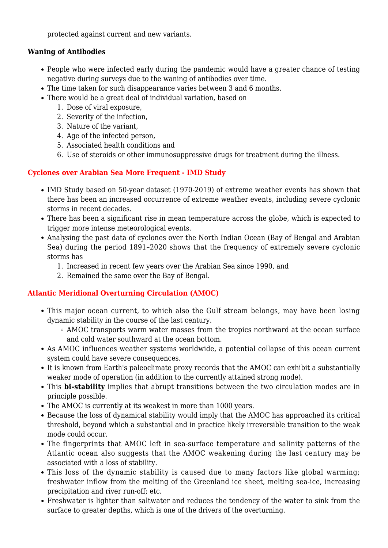protected against current and new variants.

#### **Waning of Antibodies**

- People who were infected early during the pandemic would have a greater chance of testing negative during surveys due to the waning of antibodies over time.
- The time taken for such disappearance varies between 3 and 6 months.
- There would be a great deal of individual variation, based on
	- 1. Dose of viral exposure,
	- 2. Severity of the infection,
	- 3. Nature of the variant,
	- 4. Age of the infected person,
	- 5. Associated health conditions and
	- 6. Use of steroids or other immunosuppressive drugs for treatment during the illness.

### **Cyclones over Arabian Sea More Frequent - IMD Study**

- IMD Study based on 50-year dataset (1970-2019) of extreme weather events has shown that there has been an increased occurrence of extreme weather events, including severe cyclonic storms in recent decades.
- There has been a significant rise in mean temperature across the globe, which is expected to trigger more intense meteorological events.
- Analysing the past data of cyclones over the North Indian Ocean (Bay of Bengal and Arabian Sea) during the period 1891–2020 shows that the frequency of extremely severe cyclonic storms has
	- 1. Increased in recent few years over the Arabian Sea since 1990, and
	- 2. Remained the same over the Bay of Bengal.

## **Atlantic Meridional Overturning Circulation (AMOC)**

- This major ocean current, to which also the Gulf stream belongs, may have been losing dynamic stability in the course of the last century.
	- AMOC transports warm water masses from the tropics northward at the ocean surface and cold water southward at the ocean bottom.
- As AMOC influences weather systems worldwide, a potential collapse of this ocean current system could have severe consequences.
- It is known from Earth's paleoclimate proxy records that the AMOC can exhibit a substantially weaker mode of operation (in addition to the currently attained strong mode).
- This **bi-stability** implies that abrupt transitions between the two circulation modes are in principle possible.
- The AMOC is currently at its weakest in more than 1000 years.
- Because the loss of dynamical stability would imply that the AMOC has approached its critical threshold, beyond which a substantial and in practice likely irreversible transition to the weak mode could occur.
- The fingerprints that AMOC left in sea-surface temperature and salinity patterns of the Atlantic ocean also suggests that the AMOC weakening during the last century may be associated with a loss of stability.
- This loss of the dynamic stability is caused due to many factors like global warming; freshwater inflow from the melting of the Greenland ice sheet, melting sea-ice, increasing precipitation and river run-off; etc.
- Freshwater is lighter than saltwater and reduces the tendency of the water to sink from the surface to greater depths, which is one of the drivers of the overturning.